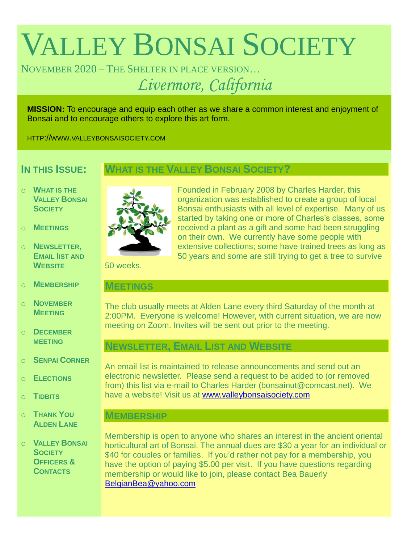# VALLEY BONSAI SOCIETY

NOVEMBER 2020 – THE SHELTER IN PLACE VERSION… *Livermore, California*

**MISSION:** To encourage and equip each other as we share a common interest and enjoyment of Bonsai and to encourage others to explore this art form.

HTTP://WWW.VALLEYBONSAISOCIETY.COM

## **IN THIS ISSUE:**

## **WHAT IS THE VALLEY BONSAI SOCIETY?**

- o **WHAT IS THE VALLEY BONSAI SOCIETY**
- o **MEETINGS**
- o **NEWSLETTER, EMAIL IIST AND WEBSITE**
- o **MEMBERSHIP**
- o **NOVEMBER MEETING**
- o **DECEMBER MEETING**
- o **SENPAI CORNER**
- o **ELECTIONS**
- o **TIDBITS**
- o **THANK YOU ALDEN LANE**
- o **VALLEY BONSAI SOCIETY OFFICERS & CONTACTS**



Founded in February 2008 by Charles Harder, this organization was established to create a group of local Bonsai enthusiasts with all level of expertise. Many of us started by taking one or more of Charles's classes, some received a plant as a gift and some had been struggling on their own. We currently have some people with extensive collections; some have trained trees as long as 50 years and some are still trying to get a tree to survive

50 weeks.

#### **MEETINGS**

The club usually meets at Alden Lane every third Saturday of the month at 2:00PM. Everyone is welcome! However, with current situation, we are now meeting on Zoom. Invites will be sent out prior to the meeting.

# **NEWSLETTER, EMAIL LIST AND WEBSITE**

An email list is maintained to release announcements and send out an electronic newsletter. Please send a request to be added to (or removed from) this list via e-mail to Charles Harder (bonsainut@comcast.net). We have a website! Visit us at [www.valleybonsaisociety.com](http://www.valleybonsaisociety.com/)

## **MEMBERSHIP**

Membership is open to anyone who shares an interest in the ancient oriental horticultural art of Bonsai. The annual dues are \$30 a year for an individual or \$40 for couples or families. If you'd rather not pay for a membership, you have the option of paying \$5.00 per visit. If you have questions regarding membership or would like to join, please contact Bea Bauerly [BelgianBea@yahoo.com](mailto:BelgianBea@yahoo.com)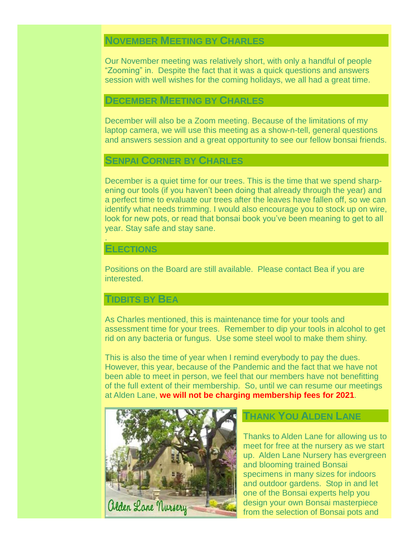# **NOVEMBER MEETING BY CHARLES**

Our November meeting was relatively short, with only a handful of people "Zooming" in. Despite the fact that it was a quick questions and answers session with well wishes for the coming holidays, we all had a great time.

#### **DECEMBER MEETING BY CHARLES**

December will also be a Zoom meeting. Because of the limitations of my laptop camera, we will use this meeting as a show-n-tell, general questions and answers session and a great opportunity to see our fellow bonsai friends.

#### **SENPAI CORNER BY CHARLES**

December is a quiet time for our trees. This is the time that we spend sharpening our tools (if you haven't been doing that already through the year) and a perfect time to evaluate our trees after the leaves have fallen off, so we can identify what needs trimming. I would also encourage you to stock up on wire, look for new pots, or read that bonsai book you've been meaning to get to all year. Stay safe and stay sane.

#### **ELECTIONS**

.

Positions on the Board are still available. Please contact Bea if you are interested.

#### **TIDBITS BY BEA**

As Charles mentioned, this is maintenance time for your tools and assessment time for your trees. Remember to dip your tools in alcohol to get rid on any bacteria or fungus. Use some steel wool to make them shiny.

This is also the time of year when I remind everybody to pay the dues. However, this year, because of the Pandemic and the fact that we have not been able to meet in person, we feel that our members have not benefitting of the full extent of their membership. So, until we can resume our meetings at Alden Lane, **we will not be charging membership fees for 2021**.



### **THANK YOU ALDEN LANE**

Thanks to Alden Lane for allowing us to meet for free at the nursery as we start up. Alden Lane Nursery has evergreen and blooming trained Bonsai specimens in many sizes for indoors and outdoor gardens. Stop in and let one of the Bonsai experts help you design your own Bonsai masterpiece from the selection of Bonsai pots and